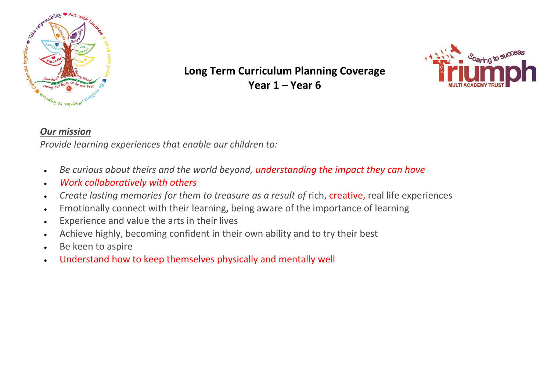

## **Long Term Curriculum Planning Coverage Year 1 – Year 6**



## *Our mission*

*Provide learning experiences that enable our children to:*

- *Be curious about theirs and the world beyond, understanding the impact they can have*
- *Work collaboratively with others*
- *Create lasting memories for them to treasure as a result of* rich, creative, real life experiences
- Emotionally connect with their learning, being aware of the importance of learning
- Experience and value the arts in their lives
- Achieve highly, becoming confident in their own ability and to try their best
- Be keen to aspire
- Understand how to keep themselves physically and mentally well